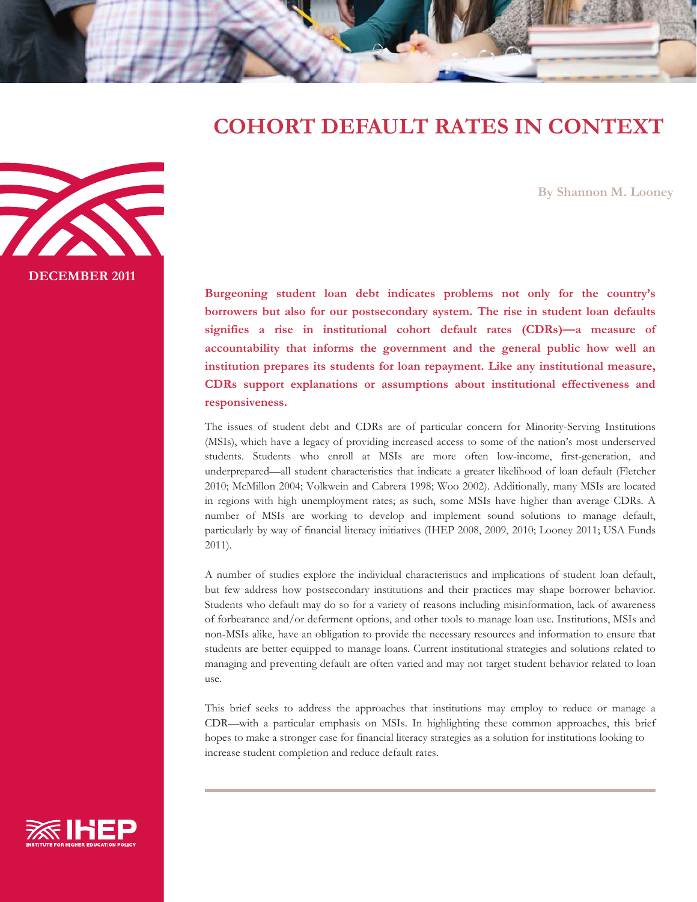# **COHORT DEFAULT RATES IN CONTEXT**

**By Shannon M. Looney** 

**Burgeoning student loan debt indicates problems not only for the country's borrowers but also for our postsecondary system. The rise in student loan defaults signifies a rise in institutional cohort default rates (CDRs)—a measure of accountability that informs the government and the general public how well an institution prepares its students for loan repayment. Like any institutional measure, CDRs support explanations or assumptions about institutional effectiveness and responsiveness.** 

The issues of student debt and CDRs are of particular concern for Minority-Serving Institutions (MSIs), which have a legacy of providing increased access to some of the nation's most underserved students. Students who enroll at MSIs are more often low-income, first-generation, and underprepared—all student characteristics that indicate a greater likelihood of loan default (Fletcher 2010; McMillon 2004; Volkwein and Cabrera 1998; Woo 2002). Additionally, many MSIs are located in regions with high unemployment rates; as such, some MSIs have higher than average CDRs. A number of MSIs are working to develop and implement sound solutions to manage default, particularly by way of financial literacy initiatives (IHEP 2008, 2009, 2010; Looney 2011; USA Funds 2011).

A number of studies explore the individual characteristics and implications of student loan default, but few address how postsecondary institutions and their practices may shape borrower behavior. Students who default may do so for a variety of reasons including misinformation, lack of awareness of forbearance and/or deferment options, and other tools to manage loan use. Institutions, MSIs and non-MSIs alike, have an obligation to provide the necessary resources and information to ensure that students are better equipped to manage loans. Current institutional strategies and solutions related to managing and preventing default are often varied and may not target student behavior related to loan use.

This brief seeks to address the approaches that institutions may employ to reduce or manage a CDR—with a particular emphasis on MSIs. In highlighting these common approaches, this brief hopes to make a stronger case for financial literacy strategies as a solution for institutions looking to increase student completion and reduce default rates.





**DECEMBER 2011**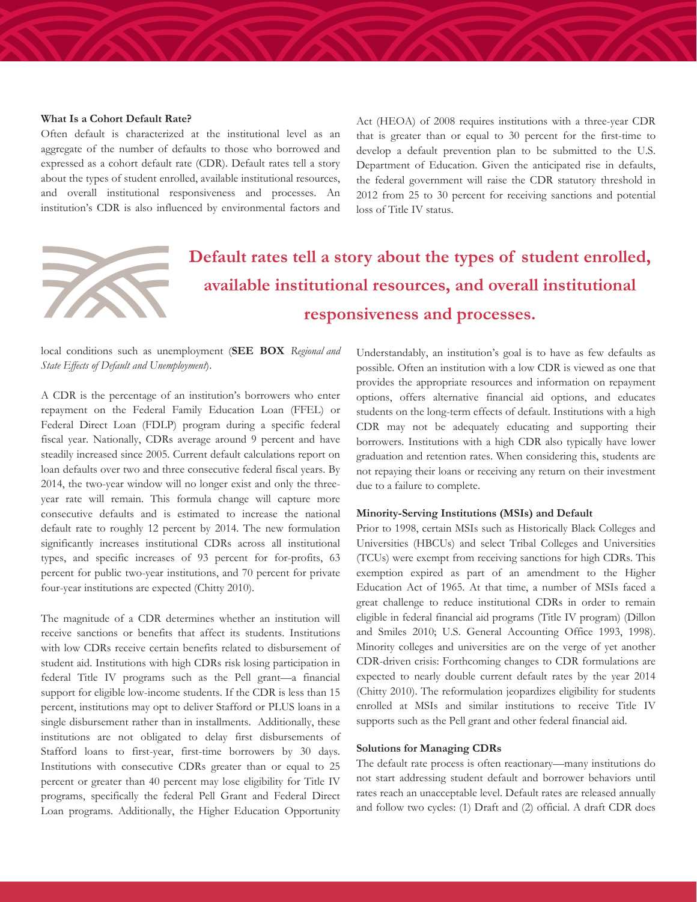# **What Is a Cohort Default Rate?**

Often default is characterized at the institutional level as an aggregate of the number of defaults to those who borrowed and expressed as a cohort default rate (CDR). Default rates tell a story about the types of student enrolled, available institutional resources, and overall institutional responsiveness and processes. An institution's CDR is also influenced by environmental factors and Act (HEOA) of 2008 requires institutions with a three-year CDR that is greater than or equal to 30 percent for the first-time to develop a default prevention plan to be submitted to the U.S. Department of Education. Given the anticipated rise in defaults, the federal government will raise the CDR statutory threshold in 2012 from 25 to 30 percent for receiving sanctions and potential loss of Title IV status.



# **Default rates tell a story about the types of student enrolled, available institutional resources, and overall institutional responsiveness and processes.**

local conditions such as unemployment (**SEE BOX** *Regional and State Effects of Default and Unemployment*).

A CDR is the percentage of an institution's borrowers who enter repayment on the Federal Family Education Loan (FFEL) or Federal Direct Loan (FDLP) program during a specific federal fiscal year. Nationally, CDRs average around 9 percent and have steadily increased since 2005. Current default calculations report on loan defaults over two and three consecutive federal fiscal years. By 2014, the two-year window will no longer exist and only the threeyear rate will remain. This formula change will capture more consecutive defaults and is estimated to increase the national default rate to roughly 12 percent by 2014. The new formulation significantly increases institutional CDRs across all institutional types, and specific increases of 93 percent for for-profits, 63 percent for public two-year institutions, and 70 percent for private four-year institutions are expected (Chitty 2010).

The magnitude of a CDR determines whether an institution will receive sanctions or benefits that affect its students. Institutions with low CDRs receive certain benefits related to disbursement of student aid. Institutions with high CDRs risk losing participation in federal Title IV programs such as the Pell grant—a financial support for eligible low-income students. If the CDR is less than 15 percent, institutions may opt to deliver Stafford or PLUS loans in a single disbursement rather than in installments. Additionally, these institutions are not obligated to delay first disbursements of Stafford loans to first-year, first-time borrowers by 30 days. Institutions with consecutive CDRs greater than or equal to 25 percent or greater than 40 percent may lose eligibility for Title IV programs, specifically the federal Pell Grant and Federal Direct Loan programs. Additionally, the Higher Education Opportunity Understandably, an institution's goal is to have as few defaults as possible. Often an institution with a low CDR is viewed as one that provides the appropriate resources and information on repayment options, offers alternative financial aid options, and educates students on the long-term effects of default. Institutions with a high CDR may not be adequately educating and supporting their borrowers. Institutions with a high CDR also typically have lower graduation and retention rates. When considering this, students are not repaying their loans or receiving any return on their investment due to a failure to complete.

### **Minority-Serving Institutions (MSIs) and Default**

Prior to 1998, certain MSIs such as Historically Black Colleges and Universities (HBCUs) and select Tribal Colleges and Universities (TCUs) were exempt from receiving sanctions for high CDRs. This exemption expired as part of an amendment to the Higher Education Act of 1965. At that time, a number of MSIs faced a great challenge to reduce institutional CDRs in order to remain eligible in federal financial aid programs (Title IV program) (Dillon and Smiles 2010; U.S. General Accounting Office 1993, 1998). Minority colleges and universities are on the verge of yet another CDR-driven crisis: Forthcoming changes to CDR formulations are expected to nearly double current default rates by the year 2014 (Chitty 2010). The reformulation jeopardizes eligibility for students enrolled at MSIs and similar institutions to receive Title IV supports such as the Pell grant and other federal financial aid.

#### **Solutions for Managing CDRs**

The default rate process is often reactionary—many institutions do not start addressing student default and borrower behaviors until rates reach an unacceptable level. Default rates are released annually and follow two cycles: (1) Draft and (2) official. A draft CDR does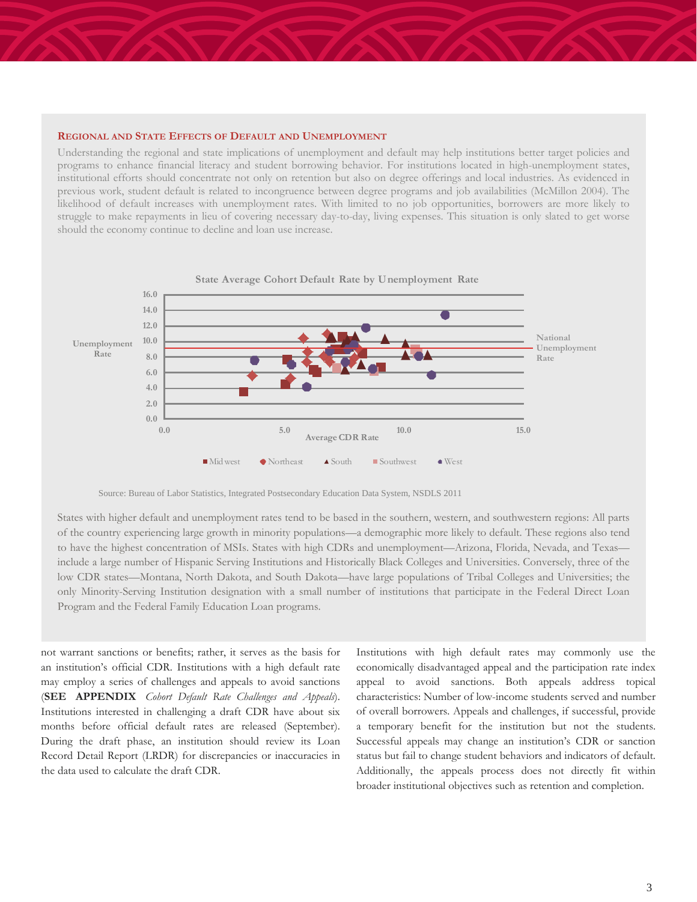### **REGIONAL AND STATE EFFECTS OF DEFAULT AND UNEMPLOYMENT**

Understanding the regional and state implications of unemployment and default may help institutions better target policies and programs to enhance financial literacy and student borrowing behavior. For institutions located in high-unemployment states, institutional efforts should concentrate not only on retention but also on degree offerings and local industries. As evidenced in previous work, student default is related to incongruence between degree programs and job availabilities (McMillon 2004). The likelihood of default increases with unemployment rates. With limited to no job opportunities, borrowers are more likely to struggle to make repayments in lieu of covering necessary day-to-day, living expenses. This situation is only slated to get worse should the economy continue to decline and loan use increase.



Source: Bureau of Labor Statistics, Integrated Postsecondary Education Data System, NSDLS 2011

States with higher default and unemployment rates tend to be based in the southern, western, and southwestern regions: All parts of the country experiencing large growth in minority populations—a demographic more likely to default. These regions also tend to have the highest concentration of MSIs. States with high CDRs and unemployment—Arizona, Florida, Nevada, and Texas include a large number of Hispanic Serving Institutions and Historically Black Colleges and Universities. Conversely, three of the low CDR states—Montana, North Dakota, and South Dakota—have large populations of Tribal Colleges and Universities; the only Minority-Serving Institution designation with a small number of institutions that participate in the Federal Direct Loan Program and the Federal Family Education Loan programs.

not warrant sanctions or benefits; rather, it serves as the basis for an institution's official CDR. Institutions with a high default rate may employ a series of challenges and appeals to avoid sanctions (**SEE APPENDIX** *Cohort Default Rate Challenges and Appeals*). Institutions interested in challenging a draft CDR have about six months before official default rates are released (September). During the draft phase, an institution should review its Loan Record Detail Report (LRDR) for discrepancies or inaccuracies in the data used to calculate the draft CDR.

Institutions with high default rates may commonly use the economically disadvantaged appeal and the participation rate index appeal to avoid sanctions. Both appeals address topical characteristics: Number of low-income students served and number of overall borrowers. Appeals and challenges, if successful, provide a temporary benefit for the institution but not the students. Successful appeals may change an institution's CDR or sanction status but fail to change student behaviors and indicators of default. Additionally, the appeals process does not directly fit within broader institutional objectives such as retention and completion.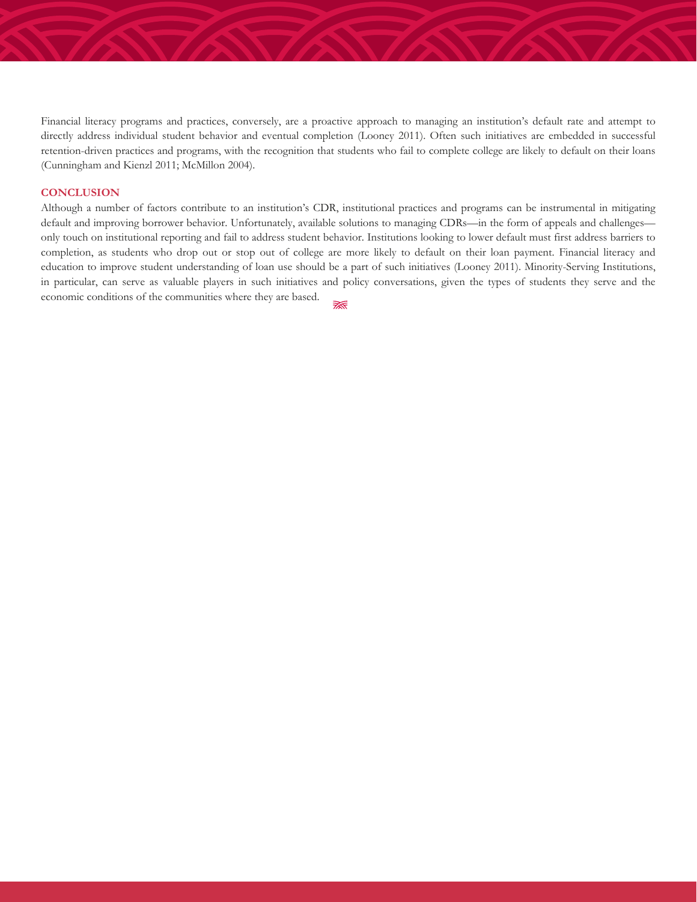Financial literacy programs and practices, conversely, are a proactive approach to managing an institution's default rate and attempt to directly address individual student behavior and eventual completion (Looney 2011). Often such initiatives are embedded in successful retention-driven practices and programs, with the recognition that students who fail to complete college are likely to default on their loans (Cunningham and Kienzl 2011; McMillon 2004).

#### **CONCLUSION**

Although a number of factors contribute to an institution's CDR, institutional practices and programs can be instrumental in mitigating default and improving borrower behavior. Unfortunately, available solutions to managing CDRs—in the form of appeals and challenges only touch on institutional reporting and fail to address student behavior. Institutions looking to lower default must first address barriers to completion, as students who drop out or stop out of college are more likely to default on their loan payment. Financial literacy and education to improve student understanding of loan use should be a part of such initiatives (Looney 2011). Minority-Serving Institutions, in particular, can serve as valuable players in such initiatives and policy conversations, given the types of students they serve and the economic conditions of the communities where they are based. ₹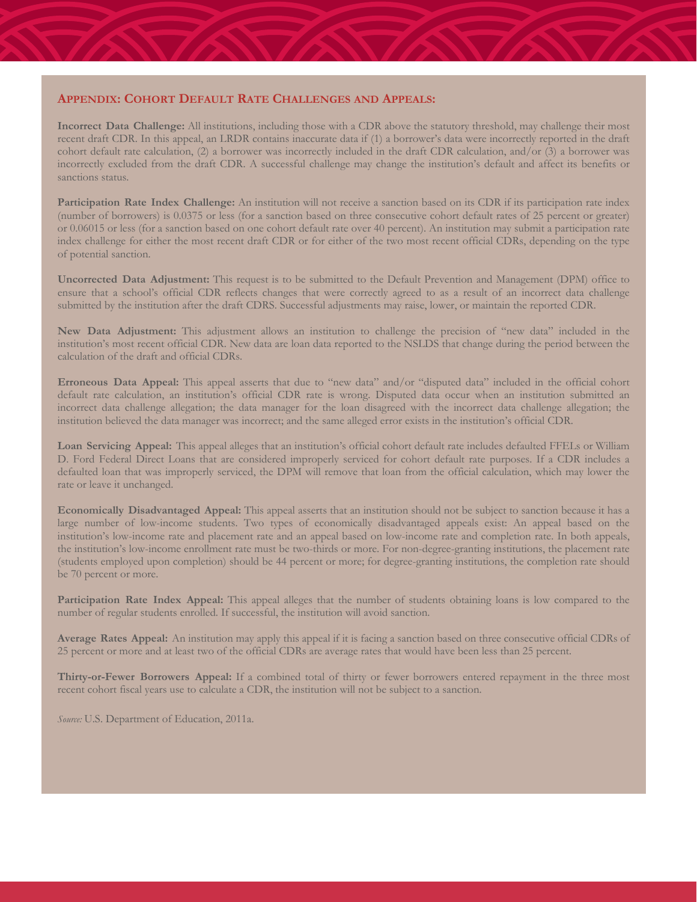# **APPENDIX: COHORT DEFAULT RATE CHALLENGES AND APPEALS:**

**Incorrect Data Challenge:** All institutions, including those with a CDR above the statutory threshold, may challenge their most recent draft CDR. In this appeal, an LRDR contains inaccurate data if (1) a borrower's data were incorrectly reported in the draft cohort default rate calculation, (2) a borrower was incorrectly included in the draft CDR calculation, and/or (3) a borrower was incorrectly excluded from the draft CDR. A successful challenge may change the institution's default and affect its benefits or sanctions status.

**Participation Rate Index Challenge:** An institution will not receive a sanction based on its CDR if its participation rate index (number of borrowers) is 0.0375 or less (for a sanction based on three consecutive cohort default rates of 25 percent or greater) or 0.06015 or less (for a sanction based on one cohort default rate over 40 percent). An institution may submit a participation rate index challenge for either the most recent draft CDR or for either of the two most recent official CDRs, depending on the type of potential sanction.

**Uncorrected Data Adjustment:** This request is to be submitted to the Default Prevention and Management (DPM) office to ensure that a school's official CDR reflects changes that were correctly agreed to as a result of an incorrect data challenge submitted by the institution after the draft CDRS. Successful adjustments may raise, lower, or maintain the reported CDR.

**New Data Adjustment:** This adjustment allows an institution to challenge the precision of "new data" included in the institution's most recent official CDR. New data are loan data reported to the NSLDS that change during the period between the calculation of the draft and official CDRs.

**Erroneous Data Appeal:** This appeal asserts that due to "new data" and/or "disputed data" included in the official cohort default rate calculation, an institution's official CDR rate is wrong. Disputed data occur when an institution submitted an incorrect data challenge allegation; the data manager for the loan disagreed with the incorrect data challenge allegation; the institution believed the data manager was incorrect; and the same alleged error exists in the institution's official CDR.

Loan Servicing Appeal: This appeal alleges that an institution's official cohort default rate includes defaulted FFELs or William D. Ford Federal Direct Loans that are considered improperly serviced for cohort default rate purposes. If a CDR includes a defaulted loan that was improperly serviced, the DPM will remove that loan from the official calculation, which may lower the rate or leave it unchanged.

**Economically Disadvantaged Appeal:** This appeal asserts that an institution should not be subject to sanction because it has a large number of low-income students. Two types of economically disadvantaged appeals exist: An appeal based on the institution's low-income rate and placement rate and an appeal based on low-income rate and completion rate. In both appeals, the institution's low-income enrollment rate must be two-thirds or more. For non-degree-granting institutions, the placement rate (students employed upon completion) should be 44 percent or more; for degree-granting institutions, the completion rate should be 70 percent or more.

**Participation Rate Index Appeal:** This appeal alleges that the number of students obtaining loans is low compared to the number of regular students enrolled. If successful, the institution will avoid sanction.

**Average Rates Appeal:** An institution may apply this appeal if it is facing a sanction based on three consecutive official CDRs of 25 percent or more and at least two of the official CDRs are average rates that would have been less than 25 percent.

**Thirty-or-Fewer Borrowers Appeal:** If a combined total of thirty or fewer borrowers entered repayment in the three most recent cohort fiscal years use to calculate a CDR, the institution will not be subject to a sanction.

*Source:* U.S. Department of Education, 2011a.